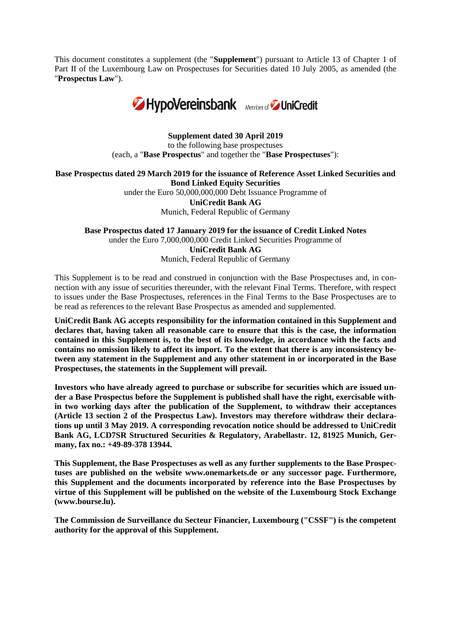This document constitutes a supplement (the "**Supplement**") pursuant to Article 13 of Chapter 1 of Part II of the Luxembourg Law on Prospectuses for Securities dated 10 July 2005, as amended (the "**Prospectus Law**").



## **Supplement dated 30 April 2019**

to the following base prospectuses (each, a "**Base Prospectus**" and together the "**Base Prospectuses**"):

**Base Prospectus dated 29 March 2019 for the issuance of Reference Asset Linked Securities and Bond Linked Equity Securities**

> under the Euro 50,000,000,000 Debt Issuance Programme of **UniCredit Bank AG** Munich, Federal Republic of Germany

**Base Prospectus dated 17 January 2019 for the issuance of Credit Linked Notes** under the Euro 7,000,000,000 Credit Linked Securities Programme of **UniCredit Bank AG** Munich, Federal Republic of Germany

This Supplement is to be read and construed in conjunction with the Base Prospectuses and, in connection with any issue of securities thereunder, with the relevant Final Terms. Therefore, with respect to issues under the Base Prospectuses, references in the Final Terms to the Base Prospectuses are to be read as references to the relevant Base Prospectus as amended and supplemented.

**UniCredit Bank AG accepts responsibility for the information contained in this Supplement and declares that, having taken all reasonable care to ensure that this is the case, the information contained in this Supplement is, to the best of its knowledge, in accordance with the facts and contains no omission likely to affect its import. To the extent that there is any inconsistency between any statement in the Supplement and any other statement in or incorporated in the Base Prospectuses, the statements in the Supplement will prevail.**

**Investors who have already agreed to purchase or subscribe for securities which are issued under a Base Prospectus before the Supplement is published shall have the right, exercisable within two working days after the publication of the Supplement, to withdraw their acceptances (Article 13 section 2 of the Prospectus Law). Investors may therefore withdraw their declarations up until 3 May 2019. A corresponding revocation notice should be addressed to UniCredit Bank AG, LCD7SR Structured Securities & Regulatory, Arabellastr. 12, 81925 Munich, Germany, fax no.: +49-89-378 13944.**

**This Supplement, the Base Prospectuses as well as any further supplements to the Base Prospectuses are published on the website www.onemarkets.de or any successor page. Furthermore, this Supplement and the documents incorporated by reference into the Base Prospectuses by virtue of this Supplement will be published on the website of the Luxembourg Stock Exchange [\(www.bourse.lu\)](http://www.bourse.lu/).**

**The Commission de Surveillance du Secteur Financier, Luxembourg ("CSSF") is the competent authority for the approval of this Supplement.**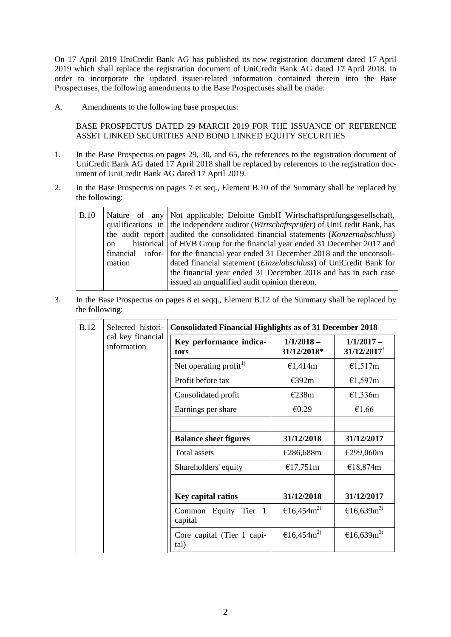On 17 April 2019 UniCredit Bank AG has published its new registration document dated 17 April 2019 which shall replace the registration document of UniCredit Bank AG dated 17 April 2018. In order to incorporate the updated issuer-related information contained therein into the Base Prospectuses, the following amendments to the Base Prospectuses shall be made:

A. Amendments to the following base prospectus:

BASE PROSPECTUS DATED 29 MARCH 2019 FOR THE ISSUANCE OF REFERENCE ASSET LINKED SECURITIES AND BOND LINKED EQUITY SECURITIES

- 1. In the Base Prospectus on pages 29, 30, and 65, the references to the registration document of UniCredit Bank AG dated 17 April 2018 shall be replaced by references to the registration document of UniCredit Bank AG dated 17 April 2019.
- 2. In the Base Prospectus on pages 7 et seq., Element B.10 of the Summary shall be replaced by the following:

| B.10 | on<br>mation | Nature of any   Not applicable; Deloitte GmbH Wirtschaftsprüfungsgesellschaft,<br>qualifications in $\vert$ the independent auditor <i>(Wirtschaftsprüfer)</i> of UniCredit Bank, has<br>the audit report audited the consolidated financial statements ( <i>Konzernabschluss</i> )<br>historical of HVB Group for the financial year ended 31 December 2017 and<br>financial infor- for the financial year ended 31 December 2018 and the unconsoli-<br>dated financial statement ( <i>Einzelabschluss</i> ) of UniCredit Bank for<br>the financial year ended 31 December 2018 and has in each case |
|------|--------------|-------------------------------------------------------------------------------------------------------------------------------------------------------------------------------------------------------------------------------------------------------------------------------------------------------------------------------------------------------------------------------------------------------------------------------------------------------------------------------------------------------------------------------------------------------------------------------------------------------|
|      |              | issued an unqualified audit opinion thereon.                                                                                                                                                                                                                                                                                                                                                                                                                                                                                                                                                          |

3. In the Base Prospectus on pages 8 et seqq., Element B.12 of the Summary shall be replaced by the following:

| <b>B.12</b> | Selected histori-                | <b>Consolidated Financial Highlights as of 31 December 2018</b> |                             |                                           |  |
|-------------|----------------------------------|-----------------------------------------------------------------|-----------------------------|-------------------------------------------|--|
|             | cal key financial<br>information | Key performance indica-<br>tors                                 | $1/1/2018 -$<br>31/12/2018* | $1/1/2017 -$<br>$31/12/2017$ <sup>†</sup> |  |
|             |                                  | Net operating profit $^{1)}$                                    | €1,414m                     | $\epsilon$ 1,517m                         |  |
|             |                                  | Profit before tax                                               | E392m                       | €1,597m                                   |  |
|             |                                  | Consolidated profit                                             | €238m                       | €1,336m                                   |  |
|             |                                  | Earnings per share                                              | €0.29                       | €1.66                                     |  |
|             |                                  |                                                                 |                             |                                           |  |
|             |                                  | <b>Balance sheet figures</b>                                    | 31/12/2018                  | 31/12/2017                                |  |
|             |                                  | Total assets                                                    | €286,688m                   | €299,060m                                 |  |
|             |                                  | Shareholders' equity                                            | €17,751m                    | €18,874m                                  |  |
|             |                                  |                                                                 |                             |                                           |  |
|             |                                  | Key capital ratios                                              | 31/12/2018                  | 31/12/2017                                |  |
|             |                                  | Common Equity Tier 1<br>capital                                 | €16,454 $m^{2}$             | €16,639m <sup>3)</sup>                    |  |
|             |                                  | Core capital (Tier 1 capi-<br>tal)                              | €16,454 $m2$                | €16,639m <sup>3)</sup>                    |  |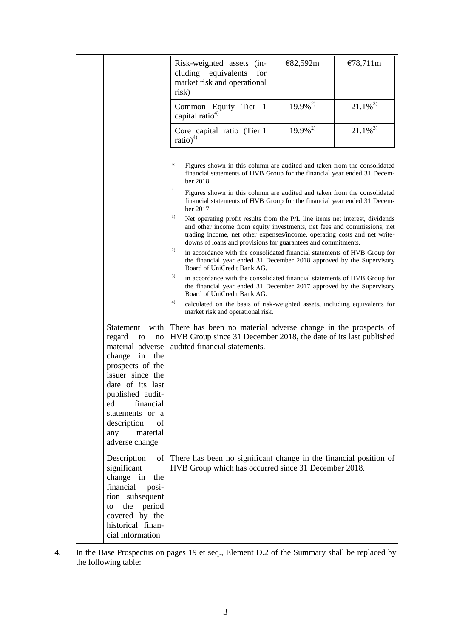|                                                                                                                                                                                                                                                              | Risk-weighted assets<br>$(in-$<br>cluding equivalents<br>for<br>market risk and operational<br>risk)                                                                                                                                                                                                                                                                                                                                                                                                                                                                                                                                                                                                                                                                                                                                                                                                                                                                                                                                                                                                                                      | €82,592m               | €78,711m     |
|--------------------------------------------------------------------------------------------------------------------------------------------------------------------------------------------------------------------------------------------------------------|-------------------------------------------------------------------------------------------------------------------------------------------------------------------------------------------------------------------------------------------------------------------------------------------------------------------------------------------------------------------------------------------------------------------------------------------------------------------------------------------------------------------------------------------------------------------------------------------------------------------------------------------------------------------------------------------------------------------------------------------------------------------------------------------------------------------------------------------------------------------------------------------------------------------------------------------------------------------------------------------------------------------------------------------------------------------------------------------------------------------------------------------|------------------------|--------------|
|                                                                                                                                                                                                                                                              | Common Equity Tier 1<br>capital ratio <sup>4)</sup>                                                                                                                                                                                                                                                                                                                                                                                                                                                                                                                                                                                                                                                                                                                                                                                                                                                                                                                                                                                                                                                                                       | $19.9\%^{2}$           | $21.1\%^{3}$ |
|                                                                                                                                                                                                                                                              | Core capital ratio (Tier 1<br>ratio) <sup>4)</sup>                                                                                                                                                                                                                                                                                                                                                                                                                                                                                                                                                                                                                                                                                                                                                                                                                                                                                                                                                                                                                                                                                        | $19.9\%$ <sup>2)</sup> | $21.1\%^{3}$ |
|                                                                                                                                                                                                                                                              | ∗<br>Figures shown in this column are audited and taken from the consolidated<br>financial statements of HVB Group for the financial year ended 31 Decem-<br>ber 2018.<br>Ť<br>Figures shown in this column are audited and taken from the consolidated<br>financial statements of HVB Group for the financial year ended 31 Decem-<br>ber 2017.<br>1)<br>Net operating profit results from the P/L line items net interest, dividends<br>and other income from equity investments, net fees and commissions, net<br>trading income, net other expenses/income, operating costs and net write-<br>downs of loans and provisions for guarantees and commitments.<br>2)<br>in accordance with the consolidated financial statements of HVB Group for<br>the financial year ended 31 December 2018 approved by the Supervisory<br>Board of UniCredit Bank AG.<br>3)<br>in accordance with the consolidated financial statements of HVB Group for<br>the financial year ended 31 December 2017 approved by the Supervisory<br>Board of UniCredit Bank AG.<br>4)<br>calculated on the basis of risk-weighted assets, including equivalents for |                        |              |
|                                                                                                                                                                                                                                                              | market risk and operational risk.                                                                                                                                                                                                                                                                                                                                                                                                                                                                                                                                                                                                                                                                                                                                                                                                                                                                                                                                                                                                                                                                                                         |                        |              |
| Statement<br>with<br>regard<br>to<br>no<br>material adverse<br>change in the<br>prospects of the<br>issuer since the<br>date of its last<br>published audit-<br>financial<br>ed<br>statements or a<br>description<br>of<br>material<br>any<br>adverse change | There has been no material adverse change in the prospects of<br>HVB Group since 31 December 2018, the date of its last published<br>audited financial statements.                                                                                                                                                                                                                                                                                                                                                                                                                                                                                                                                                                                                                                                                                                                                                                                                                                                                                                                                                                        |                        |              |
| Description<br>of<br>significant<br>change in the<br>financial<br>posi-<br>tion subsequent<br>the period<br>to<br>covered by the<br>historical finan-<br>cial information                                                                                    | There has been no significant change in the financial position of<br>HVB Group which has occurred since 31 December 2018.                                                                                                                                                                                                                                                                                                                                                                                                                                                                                                                                                                                                                                                                                                                                                                                                                                                                                                                                                                                                                 |                        |              |

4. In the Base Prospectus on pages 19 et seq., Element D.2 of the Summary shall be replaced by the following table: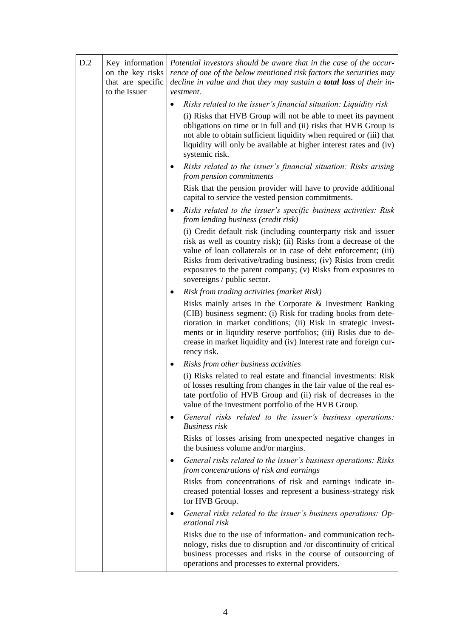| D.2 | Key information<br>on the key risks<br>that are specific<br>to the Issuer | Potential investors should be aware that in the case of the occur-<br>rence of one of the below mentioned risk factors the securities may<br>decline in value and that they may sustain a <b>total loss</b> of their in-<br>vestment. |                                                                                                                                                                                                                                                                                                                                                                         |
|-----|---------------------------------------------------------------------------|---------------------------------------------------------------------------------------------------------------------------------------------------------------------------------------------------------------------------------------|-------------------------------------------------------------------------------------------------------------------------------------------------------------------------------------------------------------------------------------------------------------------------------------------------------------------------------------------------------------------------|
|     |                                                                           | $\bullet$                                                                                                                                                                                                                             | Risks related to the issuer's financial situation: Liquidity risk                                                                                                                                                                                                                                                                                                       |
|     |                                                                           |                                                                                                                                                                                                                                       | (i) Risks that HVB Group will not be able to meet its payment<br>obligations on time or in full and (ii) risks that HVB Group is<br>not able to obtain sufficient liquidity when required or (iii) that<br>liquidity will only be available at higher interest rates and (iv)<br>systemic risk.                                                                         |
|     |                                                                           | $\bullet$                                                                                                                                                                                                                             | Risks related to the issuer's financial situation: Risks arising<br>from pension commitments                                                                                                                                                                                                                                                                            |
|     |                                                                           |                                                                                                                                                                                                                                       | Risk that the pension provider will have to provide additional<br>capital to service the vested pension commitments.                                                                                                                                                                                                                                                    |
|     |                                                                           | ٠                                                                                                                                                                                                                                     | Risks related to the issuer's specific business activities: Risk<br>from lending business (credit risk)                                                                                                                                                                                                                                                                 |
|     |                                                                           |                                                                                                                                                                                                                                       | (i) Credit default risk (including counterparty risk and issuer<br>risk as well as country risk); (ii) Risks from a decrease of the<br>value of loan collaterals or in case of debt enforcement; (iii)<br>Risks from derivative/trading business; (iv) Risks from credit<br>exposures to the parent company; (v) Risks from exposures to<br>sovereigns / public sector. |
|     |                                                                           |                                                                                                                                                                                                                                       | <b>Risk from trading activities (market Risk)</b>                                                                                                                                                                                                                                                                                                                       |
|     |                                                                           |                                                                                                                                                                                                                                       | Risks mainly arises in the Corporate & Investment Banking<br>(CIB) business segment: (i) Risk for trading books from dete-<br>rioration in market conditions; (ii) Risk in strategic invest-<br>ments or in liquidity reserve portfolios; (iii) Risks due to de-<br>crease in market liquidity and (iv) Interest rate and foreign cur-<br>rency risk.                   |
|     |                                                                           | $\bullet$                                                                                                                                                                                                                             | Risks from other business activities                                                                                                                                                                                                                                                                                                                                    |
|     |                                                                           |                                                                                                                                                                                                                                       | (i) Risks related to real estate and financial investments: Risk<br>of losses resulting from changes in the fair value of the real es-<br>tate portfolio of HVB Group and (ii) risk of decreases in the<br>value of the investment portfolio of the HVB Group.                                                                                                          |
|     |                                                                           | ٠                                                                                                                                                                                                                                     | General risks related to the issuer's business operations:<br><b>Business</b> risk                                                                                                                                                                                                                                                                                      |
|     |                                                                           |                                                                                                                                                                                                                                       | Risks of losses arising from unexpected negative changes in<br>the business volume and/or margins.                                                                                                                                                                                                                                                                      |
|     |                                                                           | ٠                                                                                                                                                                                                                                     | General risks related to the issuer's business operations: Risks<br>from concentrations of risk and earnings                                                                                                                                                                                                                                                            |
|     |                                                                           |                                                                                                                                                                                                                                       | Risks from concentrations of risk and earnings indicate in-<br>creased potential losses and represent a business-strategy risk<br>for HVB Group.                                                                                                                                                                                                                        |
|     |                                                                           | ٠                                                                                                                                                                                                                                     | General risks related to the issuer's business operations: Op-<br>erational risk                                                                                                                                                                                                                                                                                        |
|     |                                                                           |                                                                                                                                                                                                                                       | Risks due to the use of information- and communication tech-<br>nology, risks due to disruption and /or discontinuity of critical<br>business processes and risks in the course of outsourcing of<br>operations and processes to external providers.                                                                                                                    |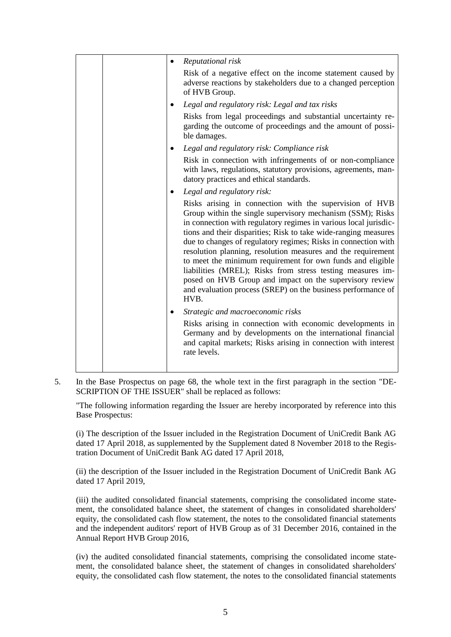|  |           | Reputational risk                                                                                                                                                                                                                                                                                                                                                                                                                                                                                                                                                                                                                                             |
|--|-----------|---------------------------------------------------------------------------------------------------------------------------------------------------------------------------------------------------------------------------------------------------------------------------------------------------------------------------------------------------------------------------------------------------------------------------------------------------------------------------------------------------------------------------------------------------------------------------------------------------------------------------------------------------------------|
|  |           | Risk of a negative effect on the income statement caused by<br>adverse reactions by stakeholders due to a changed perception<br>of HVB Group.                                                                                                                                                                                                                                                                                                                                                                                                                                                                                                                 |
|  |           | Legal and regulatory risk: Legal and tax risks                                                                                                                                                                                                                                                                                                                                                                                                                                                                                                                                                                                                                |
|  |           | Risks from legal proceedings and substantial uncertainty re-<br>garding the outcome of proceedings and the amount of possi-<br>ble damages.                                                                                                                                                                                                                                                                                                                                                                                                                                                                                                                   |
|  |           | Legal and regulatory risk: Compliance risk                                                                                                                                                                                                                                                                                                                                                                                                                                                                                                                                                                                                                    |
|  |           | Risk in connection with infringements of or non-compliance<br>with laws, regulations, statutory provisions, agreements, man-<br>datory practices and ethical standards.                                                                                                                                                                                                                                                                                                                                                                                                                                                                                       |
|  | $\bullet$ | Legal and regulatory risk:                                                                                                                                                                                                                                                                                                                                                                                                                                                                                                                                                                                                                                    |
|  |           | Risks arising in connection with the supervision of HVB<br>Group within the single supervisory mechanism (SSM); Risks<br>in connection with regulatory regimes in various local jurisdic-<br>tions and their disparities; Risk to take wide-ranging measures<br>due to changes of regulatory regimes; Risks in connection with<br>resolution planning, resolution measures and the requirement<br>to meet the minimum requirement for own funds and eligible<br>liabilities (MREL); Risks from stress testing measures im-<br>posed on HVB Group and impact on the supervisory review<br>and evaluation process (SREP) on the business performance of<br>HVB. |
|  |           | Strategic and macroeconomic risks                                                                                                                                                                                                                                                                                                                                                                                                                                                                                                                                                                                                                             |
|  |           | Risks arising in connection with economic developments in<br>Germany and by developments on the international financial<br>and capital markets; Risks arising in connection with interest<br>rate levels.                                                                                                                                                                                                                                                                                                                                                                                                                                                     |
|  |           |                                                                                                                                                                                                                                                                                                                                                                                                                                                                                                                                                                                                                                                               |

5. In the Base Prospectus on page 68, the whole text in the first paragraph in the section "DE-SCRIPTION OF THE ISSUER" shall be replaced as follows:

"The following information regarding the Issuer are hereby incorporated by reference into this Base Prospectus:

(i) The description of the Issuer included in the Registration Document of UniCredit Bank AG dated 17 April 2018, as supplemented by the Supplement dated 8 November 2018 to the Registration Document of UniCredit Bank AG dated 17 April 2018,

(ii) the description of the Issuer included in the Registration Document of UniCredit Bank AG dated 17 April 2019,

(iii) the audited consolidated financial statements, comprising the consolidated income statement, the consolidated balance sheet, the statement of changes in consolidated shareholders' equity, the consolidated cash flow statement, the notes to the consolidated financial statements and the independent auditors' report of HVB Group as of 31 December 2016, contained in the Annual Report HVB Group 2016,

(iv) the audited consolidated financial statements, comprising the consolidated income statement, the consolidated balance sheet, the statement of changes in consolidated shareholders' equity, the consolidated cash flow statement, the notes to the consolidated financial statements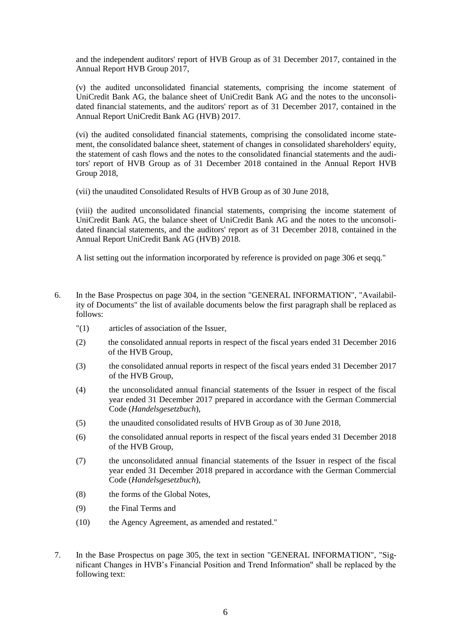and the independent auditors' report of HVB Group as of 31 December 2017, contained in the Annual Report HVB Group 2017,

(v) the audited unconsolidated financial statements, comprising the income statement of UniCredit Bank AG, the balance sheet of UniCredit Bank AG and the notes to the unconsolidated financial statements, and the auditors' report as of 31 December 2017, contained in the Annual Report UniCredit Bank AG (HVB) 2017.

(vi) the audited consolidated financial statements, comprising the consolidated income statement, the consolidated balance sheet, statement of changes in consolidated shareholders' equity, the statement of cash flows and the notes to the consolidated financial statements and the auditors' report of HVB Group as of 31 December 2018 contained in the Annual Report HVB Group 2018,

(vii) the unaudited Consolidated Results of HVB Group as of 30 June 2018,

(viii) the audited unconsolidated financial statements, comprising the income statement of UniCredit Bank AG, the balance sheet of UniCredit Bank AG and the notes to the unconsolidated financial statements, and the auditors' report as of 31 December 2018, contained in the Annual Report UniCredit Bank AG (HVB) 2018.

A list setting out the information incorporated by reference is provided on page 306 et seqq."

- 6. In the Base Prospectus on page 304, in the section "GENERAL INFORMATION", "Availability of Documents" the list of available documents below the first paragraph shall be replaced as follows:
	- "(1) articles of association of the Issuer,
	- (2) the consolidated annual reports in respect of the fiscal years ended 31 December 2016 of the HVB Group,
	- (3) the consolidated annual reports in respect of the fiscal years ended 31 December 2017 of the HVB Group,
	- (4) the unconsolidated annual financial statements of the Issuer in respect of the fiscal year ended 31 December 2017 prepared in accordance with the German Commercial Code (*Handelsgesetzbuch*),
	- (5) the unaudited consolidated results of HVB Group as of 30 June 2018,
	- (6) the consolidated annual reports in respect of the fiscal years ended 31 December 2018 of the HVB Group,
	- (7) the unconsolidated annual financial statements of the Issuer in respect of the fiscal year ended 31 December 2018 prepared in accordance with the German Commercial Code (*Handelsgesetzbuch*),
	- (8) the forms of the Global Notes,
	- (9) the Final Terms and
	- (10) the Agency Agreement, as amended and restated."
- 7. In the Base Prospectus on page 305, the text in section "GENERAL INFORMATION", "Significant Changes in HVB's Financial Position and Trend Information" shall be replaced by the following text: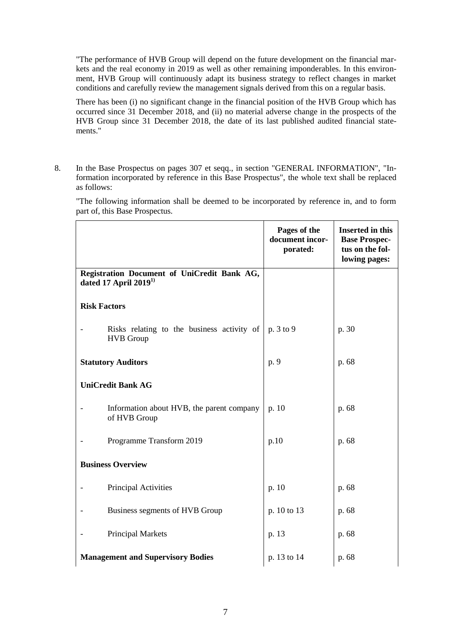"The performance of HVB Group will depend on the future development on the financial markets and the real economy in 2019 as well as other remaining imponderables. In this environment, HVB Group will continuously adapt its business strategy to reflect changes in market conditions and carefully review the management signals derived from this on a regular basis.

There has been (i) no significant change in the financial position of the HVB Group which has occurred since 31 December 2018, and (ii) no material adverse change in the prospects of the HVB Group since 31 December 2018, the date of its last published audited financial statements."

8. In the Base Prospectus on pages 307 et seqq., in section "GENERAL INFORMATION", "Information incorporated by reference in this Base Prospectus", the whole text shall be replaced as follows:

"The following information shall be deemed to be incorporated by reference in, and to form part of, this Base Prospectus.

|                          |                                                                       | Pages of the<br>document incor-<br>porated: | <b>Inserted in this</b><br><b>Base Prospec-</b><br>tus on the fol-<br>lowing pages: |
|--------------------------|-----------------------------------------------------------------------|---------------------------------------------|-------------------------------------------------------------------------------------|
|                          | Registration Document of UniCredit Bank AG,<br>dated 17 April $20191$ |                                             |                                                                                     |
| <b>Risk Factors</b>      |                                                                       |                                             |                                                                                     |
|                          | Risks relating to the business activity of<br><b>HVB</b> Group        | p. 3 to 9                                   | p. 30                                                                               |
|                          | <b>Statutory Auditors</b>                                             | p. 9                                        | p. 68                                                                               |
| <b>UniCredit Bank AG</b> |                                                                       |                                             |                                                                                     |
|                          | Information about HVB, the parent company<br>of HVB Group             | p. 10                                       | p. 68                                                                               |
|                          | Programme Transform 2019                                              | p.10                                        | p. 68                                                                               |
|                          | <b>Business Overview</b>                                              |                                             |                                                                                     |
|                          | Principal Activities                                                  | p. 10                                       | p. 68                                                                               |
|                          | Business segments of HVB Group                                        | p. 10 to 13                                 | p. 68                                                                               |
|                          | <b>Principal Markets</b>                                              | p. 13                                       | p. 68                                                                               |
|                          | <b>Management and Supervisory Bodies</b>                              | p. 13 to 14                                 | p. 68                                                                               |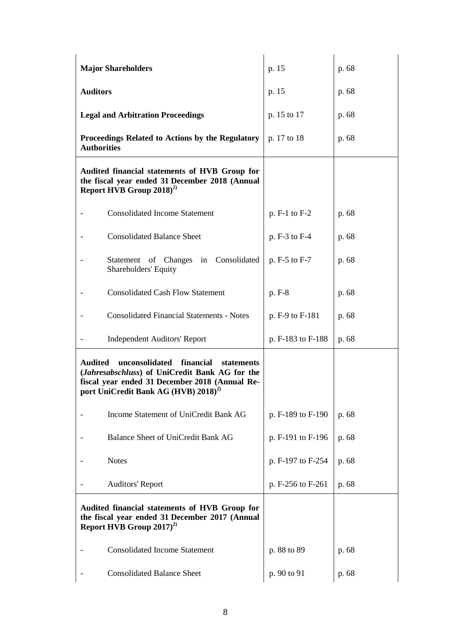|                          | <b>Major Shareholders</b>                                                                                                                                                                         | p. 15             | p. 68 |
|--------------------------|---------------------------------------------------------------------------------------------------------------------------------------------------------------------------------------------------|-------------------|-------|
| <b>Auditors</b>          |                                                                                                                                                                                                   | p. 15             | p. 68 |
|                          | <b>Legal and Arbitration Proceedings</b>                                                                                                                                                          | p. 15 to 17       | p. 68 |
|                          | Proceedings Related to Actions by the Regulatory<br><b>Authorities</b>                                                                                                                            | p. 17 to 18       | p. 68 |
|                          | Audited financial statements of HVB Group for<br>the fiscal year ended 31 December 2018 (Annual<br>Report HVB Group $2018)^{2}$                                                                   |                   |       |
|                          | <b>Consolidated Income Statement</b>                                                                                                                                                              | p. F-1 to F-2     | p. 68 |
|                          | <b>Consolidated Balance Sheet</b>                                                                                                                                                                 | p. F-3 to F-4     | p. 68 |
|                          | Statement of Changes in Consolidated<br>Shareholders' Equity                                                                                                                                      | p. F-5 to F-7     | p. 68 |
| $\overline{\phantom{a}}$ | <b>Consolidated Cash Flow Statement</b>                                                                                                                                                           | p. F-8            | p. 68 |
|                          | <b>Consolidated Financial Statements - Notes</b>                                                                                                                                                  | p. F-9 to F-181   | p. 68 |
| $\qquad \qquad -$        | <b>Independent Auditors' Report</b>                                                                                                                                                               | p. F-183 to F-188 | p. 68 |
| <b>Audited</b>           | unconsolidated<br>financial<br>statements<br>(Jahresabschluss) of UniCredit Bank AG for the<br>fiscal year ended 31 December 2018 (Annual Re-<br>port UniCredit Bank AG (HVB) 2018) <sup>2)</sup> |                   |       |
|                          | Income Statement of UniCredit Bank AG                                                                                                                                                             | p. F-189 to F-190 | p. 68 |
|                          |                                                                                                                                                                                                   |                   |       |
|                          | Balance Sheet of UniCredit Bank AG                                                                                                                                                                | p. F-191 to F-196 | p. 68 |
|                          | <b>Notes</b>                                                                                                                                                                                      | p. F-197 to F-254 | p. 68 |
|                          | <b>Auditors' Report</b>                                                                                                                                                                           | p. F-256 to F-261 | p. 68 |
|                          | Audited financial statements of HVB Group for<br>the fiscal year ended 31 December 2017 (Annual<br>Report HVB Group $2017)^{2}$                                                                   |                   |       |
|                          | <b>Consolidated Income Statement</b>                                                                                                                                                              | p. 88 to 89       | p. 68 |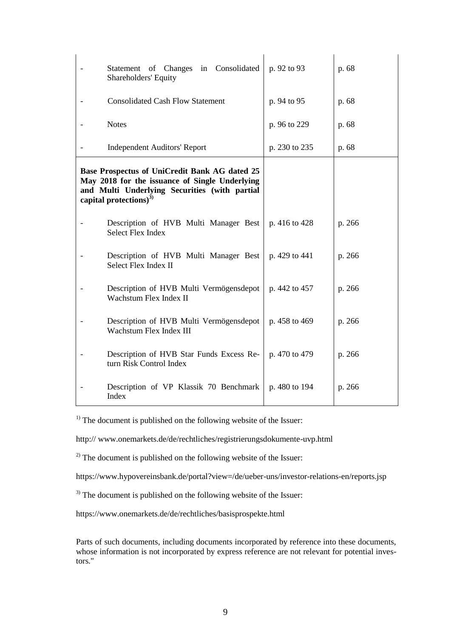| Statement of Changes in Consolidated<br>Shareholders' Equity                                                                                                                     | p. 92 to 93   | p. 68  |
|----------------------------------------------------------------------------------------------------------------------------------------------------------------------------------|---------------|--------|
| <b>Consolidated Cash Flow Statement</b>                                                                                                                                          | p. 94 to 95   | p. 68  |
| <b>Notes</b>                                                                                                                                                                     | p. 96 to 229  | p. 68  |
| <b>Independent Auditors' Report</b>                                                                                                                                              | p. 230 to 235 | p. 68  |
| Base Prospectus of UniCredit Bank AG dated 25<br>May 2018 for the issuance of Single Underlying<br>and Multi Underlying Securities (with partial<br>capital protections) $^{3)}$ |               |        |
| Description of HVB Multi Manager Best<br><b>Select Flex Index</b>                                                                                                                | p. 416 to 428 | p. 266 |
| Description of HVB Multi Manager Best<br>Select Flex Index II                                                                                                                    | p. 429 to 441 | p. 266 |
| Description of HVB Multi Vermögensdepot<br>Wachstum Flex Index II                                                                                                                | p. 442 to 457 | p. 266 |
| Description of HVB Multi Vermögensdepot<br>Wachstum Flex Index III                                                                                                               | p. 458 to 469 | p. 266 |
| Description of HVB Star Funds Excess Re-<br>turn Risk Control Index                                                                                                              | p. 470 to 479 | p. 266 |
| Description of VP Klassik 70 Benchmark<br>Index                                                                                                                                  | p. 480 to 194 | p. 266 |

 $<sup>1)</sup>$  The document is published on the following website of the Issuer:</sup>

http:// www.onemarkets.de/de/rechtliches/registrierungsdokumente-uvp.html

 $^{2)}$  The document is published on the following website of the Issuer:

https://www.hypovereinsbank.de/portal?view=/de/ueber-uns/investor-relations-en/reports.jsp

<sup>3)</sup> The document is published on the following website of the Issuer:

https://www.onemarkets.de/de/rechtliches/basisprospekte.html

Parts of such documents, including documents incorporated by reference into these documents, whose information is not incorporated by express reference are not relevant for potential investors."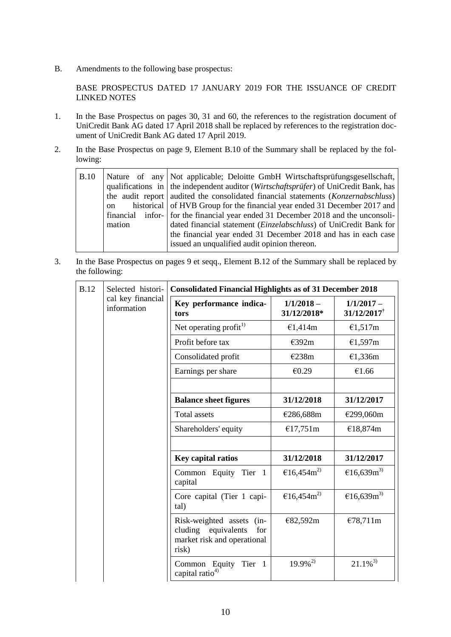B. Amendments to the following base prospectus:

BASE PROSPECTUS DATED 17 JANUARY 2019 FOR THE ISSUANCE OF CREDIT LINKED NOTES

- 1. In the Base Prospectus on pages 30, 31 and 60, the references to the registration document of UniCredit Bank AG dated 17 April 2018 shall be replaced by references to the registration document of UniCredit Bank AG dated 17 April 2019.
- 2. In the Base Prospectus on page 9, Element B.10 of the Summary shall be replaced by the following:

| B.10 | on<br>mation | Nature of any Not applicable; Deloitte GmbH Wirtschaftsprüfungsgesellschaft,<br>qualifications in $\vert$ the independent auditor ( <i>Wirtschaftsprüfer</i> ) of UniCredit Bank, has<br>the audit report audited the consolidated financial statements ( <i>Konzernabschluss</i> )<br>historical of HVB Group for the financial year ended 31 December 2017 and<br>financial infor- for the financial year ended 31 December 2018 and the unconsoli-<br>dated financial statement ( <i>Einzelabschluss</i> ) of UniCredit Bank for<br>the financial year ended 31 December 2018 and has in each case<br>issued an unqualified audit opinion thereon. |
|------|--------------|-------------------------------------------------------------------------------------------------------------------------------------------------------------------------------------------------------------------------------------------------------------------------------------------------------------------------------------------------------------------------------------------------------------------------------------------------------------------------------------------------------------------------------------------------------------------------------------------------------------------------------------------------------|
|------|--------------|-------------------------------------------------------------------------------------------------------------------------------------------------------------------------------------------------------------------------------------------------------------------------------------------------------------------------------------------------------------------------------------------------------------------------------------------------------------------------------------------------------------------------------------------------------------------------------------------------------------------------------------------------------|

3. In the Base Prospectus on pages 9 et seqq., Element B.12 of the Summary shall be replaced by the following:

| <b>B.12</b> | Selected histori-<br>cal key financial<br>information | <b>Consolidated Financial Highlights as of 31 December 2018</b>                                    |                             |                                           |  |
|-------------|-------------------------------------------------------|----------------------------------------------------------------------------------------------------|-----------------------------|-------------------------------------------|--|
|             |                                                       | Key performance indica-<br>tors                                                                    | $1/1/2018 -$<br>31/12/2018* | $1/1/2017 -$<br>$31/12/2017$ <sup>†</sup> |  |
|             |                                                       | Net operating profit <sup>1)</sup>                                                                 | €1,414m                     | €1,517m                                   |  |
|             |                                                       | Profit before tax                                                                                  | €392m                       | €1,597m                                   |  |
|             |                                                       | Consolidated profit                                                                                | €238m                       | €1,336m                                   |  |
|             |                                                       | Earnings per share                                                                                 | €0.29                       | €1.66                                     |  |
|             |                                                       |                                                                                                    |                             |                                           |  |
|             |                                                       | <b>Balance sheet figures</b>                                                                       | 31/12/2018                  | 31/12/2017                                |  |
|             |                                                       | <b>Total assets</b>                                                                                | €286,688m                   | €299,060m                                 |  |
|             |                                                       | Shareholders' equity                                                                               | €17,751m                    | €18,874m                                  |  |
|             |                                                       |                                                                                                    |                             |                                           |  |
|             |                                                       | Key capital ratios                                                                                 | 31/12/2018                  | 31/12/2017                                |  |
|             |                                                       | Common Equity Tier 1<br>capital                                                                    | €16,454 $m2$                | €16,639m <sup>3)</sup>                    |  |
|             |                                                       | Core capital (Tier 1 capi-<br>tal)                                                                 | €16,454 $m2$                | €16,639m <sup>3)</sup>                    |  |
|             |                                                       | Risk-weighted assets (in-<br>cluding<br>equivalents<br>for<br>market risk and operational<br>risk) | €82,592m                    | €78,711m                                  |  |
|             |                                                       | Tier<br>Common Equity<br>$\blacksquare$<br>capital ratio <sup>4)</sup>                             | $19.9\%^{2}$                | $21.1\%^{3}$                              |  |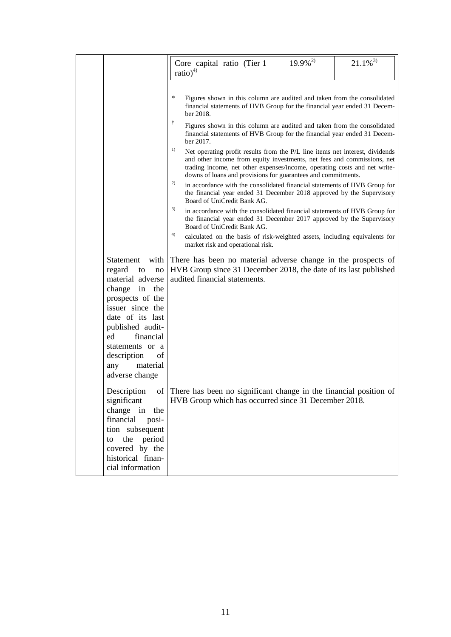|                                                                                                                                                                                                                                                                     | Core capital ratio (Tier 1<br>$ratio)^{4)}$                                                                                                                                                                                                                                                                                                                                                                                                                                                                                                                                                                                                                                                                                                                                                                                                                                                                                                                                                                                                                                                                                               | $19.9\%^{2}$ | $21.1\%$ <sup>3)</sup> |
|---------------------------------------------------------------------------------------------------------------------------------------------------------------------------------------------------------------------------------------------------------------------|-------------------------------------------------------------------------------------------------------------------------------------------------------------------------------------------------------------------------------------------------------------------------------------------------------------------------------------------------------------------------------------------------------------------------------------------------------------------------------------------------------------------------------------------------------------------------------------------------------------------------------------------------------------------------------------------------------------------------------------------------------------------------------------------------------------------------------------------------------------------------------------------------------------------------------------------------------------------------------------------------------------------------------------------------------------------------------------------------------------------------------------------|--------------|------------------------|
|                                                                                                                                                                                                                                                                     | ∗<br>Figures shown in this column are audited and taken from the consolidated<br>financial statements of HVB Group for the financial year ended 31 Decem-<br>ber 2018.<br>Ť<br>Figures shown in this column are audited and taken from the consolidated<br>financial statements of HVB Group for the financial year ended 31 Decem-<br>ber 2017.<br>1)<br>Net operating profit results from the P/L line items net interest, dividends<br>and other income from equity investments, net fees and commissions, net<br>trading income, net other expenses/income, operating costs and net write-<br>downs of loans and provisions for guarantees and commitments.<br>2)<br>in accordance with the consolidated financial statements of HVB Group for<br>the financial year ended 31 December 2018 approved by the Supervisory<br>Board of UniCredit Bank AG.<br>3)<br>in accordance with the consolidated financial statements of HVB Group for<br>the financial year ended 31 December 2017 approved by the Supervisory<br>Board of UniCredit Bank AG.<br>4)<br>calculated on the basis of risk-weighted assets, including equivalents for |              |                        |
| <b>Statement</b><br>with<br>regard<br>to<br>no<br>material adverse<br>change in the<br>prospects of the<br>issuer since the<br>date of its last<br>published audit-<br>financial<br>ed<br>statements or a<br>description<br>of<br>material<br>any<br>adverse change | market risk and operational risk.<br>There has been no material adverse change in the prospects of<br>HVB Group since 31 December 2018, the date of its last published<br>audited financial statements.                                                                                                                                                                                                                                                                                                                                                                                                                                                                                                                                                                                                                                                                                                                                                                                                                                                                                                                                   |              |                        |
| Description<br>significant<br>change in the<br>financial<br>posi-<br>tion subsequent<br>to the period<br>covered by the<br>historical finan-<br>cial information                                                                                                    | of There has been no significant change in the financial position of<br>HVB Group which has occurred since 31 December 2018.                                                                                                                                                                                                                                                                                                                                                                                                                                                                                                                                                                                                                                                                                                                                                                                                                                                                                                                                                                                                              |              |                        |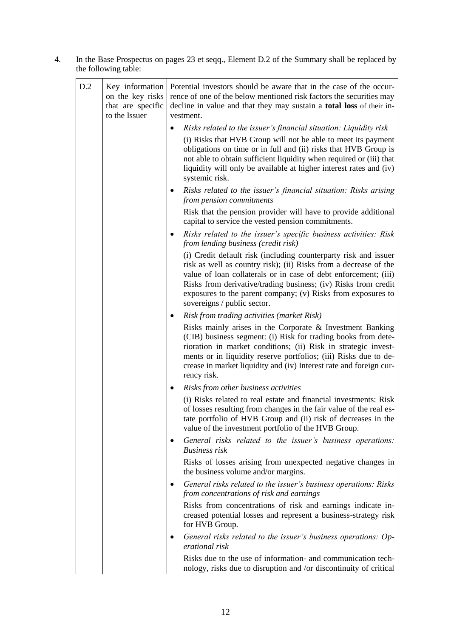4. In the Base Prospectus on pages 23 et seqq., Element D.2 of the Summary shall be replaced by the following table:

| D.2 | Key information<br>on the key risks<br>that are specific<br>to the Issuer | Potential investors should be aware that in the case of the occur-<br>rence of one of the below mentioned risk factors the securities may<br>decline in value and that they may sustain a <b>total loss</b> of their in-<br>vestment.                                                                                                                                   |  |
|-----|---------------------------------------------------------------------------|-------------------------------------------------------------------------------------------------------------------------------------------------------------------------------------------------------------------------------------------------------------------------------------------------------------------------------------------------------------------------|--|
|     |                                                                           | Risks related to the issuer's financial situation: Liquidity risk                                                                                                                                                                                                                                                                                                       |  |
|     |                                                                           | (i) Risks that HVB Group will not be able to meet its payment<br>obligations on time or in full and (ii) risks that HVB Group is<br>not able to obtain sufficient liquidity when required or (iii) that<br>liquidity will only be available at higher interest rates and (iv)<br>systemic risk.                                                                         |  |
|     |                                                                           | Risks related to the issuer's financial situation: Risks arising<br>$\bullet$<br>from pension commitments                                                                                                                                                                                                                                                               |  |
|     |                                                                           | Risk that the pension provider will have to provide additional<br>capital to service the vested pension commitments.                                                                                                                                                                                                                                                    |  |
|     |                                                                           | Risks related to the issuer's specific business activities: Risk<br>$\bullet$<br>from lending business (credit risk)                                                                                                                                                                                                                                                    |  |
|     |                                                                           | (i) Credit default risk (including counterparty risk and issuer<br>risk as well as country risk); (ii) Risks from a decrease of the<br>value of loan collaterals or in case of debt enforcement; (iii)<br>Risks from derivative/trading business; (iv) Risks from credit<br>exposures to the parent company; (v) Risks from exposures to<br>sovereigns / public sector. |  |
|     |                                                                           | <b>Risk from trading activities (market Risk)</b><br>٠                                                                                                                                                                                                                                                                                                                  |  |
|     |                                                                           | Risks mainly arises in the Corporate & Investment Banking<br>(CIB) business segment: (i) Risk for trading books from dete-<br>rioration in market conditions; (ii) Risk in strategic invest-<br>ments or in liquidity reserve portfolios; (iii) Risks due to de-<br>crease in market liquidity and (iv) Interest rate and foreign cur-<br>rency risk.                   |  |
|     |                                                                           | Risks from other business activities<br>٠                                                                                                                                                                                                                                                                                                                               |  |
|     |                                                                           | (i) Risks related to real estate and financial investments: Risk<br>of losses resulting from changes in the fair value of the real es-<br>tate portfolio of HVB Group and (ii) risk of decreases in the<br>value of the investment portfolio of the HVB Group.                                                                                                          |  |
|     |                                                                           | General risks related to the issuer's business operations:<br><b>Business risk</b>                                                                                                                                                                                                                                                                                      |  |
|     |                                                                           | Risks of losses arising from unexpected negative changes in<br>the business volume and/or margins.                                                                                                                                                                                                                                                                      |  |
|     |                                                                           | General risks related to the issuer's business operations: Risks<br>$\bullet$<br>from concentrations of risk and earnings                                                                                                                                                                                                                                               |  |
|     |                                                                           | Risks from concentrations of risk and earnings indicate in-<br>creased potential losses and represent a business-strategy risk<br>for HVB Group.                                                                                                                                                                                                                        |  |
|     |                                                                           | General risks related to the issuer's business operations: Op-<br>erational risk                                                                                                                                                                                                                                                                                        |  |
|     |                                                                           | Risks due to the use of information- and communication tech-<br>nology, risks due to disruption and /or discontinuity of critical                                                                                                                                                                                                                                       |  |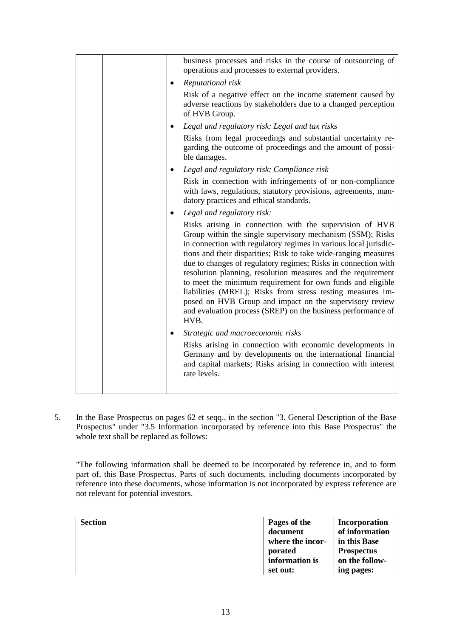|  |           | business processes and risks in the course of outsourcing of                                                                                                                                                                                                                                                                                                                                                                                                                                                                                                                                                                                                  |
|--|-----------|---------------------------------------------------------------------------------------------------------------------------------------------------------------------------------------------------------------------------------------------------------------------------------------------------------------------------------------------------------------------------------------------------------------------------------------------------------------------------------------------------------------------------------------------------------------------------------------------------------------------------------------------------------------|
|  |           | operations and processes to external providers.                                                                                                                                                                                                                                                                                                                                                                                                                                                                                                                                                                                                               |
|  | $\bullet$ | Reputational risk                                                                                                                                                                                                                                                                                                                                                                                                                                                                                                                                                                                                                                             |
|  |           | Risk of a negative effect on the income statement caused by<br>adverse reactions by stakeholders due to a changed perception<br>of HVB Group.                                                                                                                                                                                                                                                                                                                                                                                                                                                                                                                 |
|  | $\bullet$ | Legal and regulatory risk: Legal and tax risks                                                                                                                                                                                                                                                                                                                                                                                                                                                                                                                                                                                                                |
|  |           | Risks from legal proceedings and substantial uncertainty re-<br>garding the outcome of proceedings and the amount of possi-<br>ble damages.                                                                                                                                                                                                                                                                                                                                                                                                                                                                                                                   |
|  | $\bullet$ | Legal and regulatory risk: Compliance risk                                                                                                                                                                                                                                                                                                                                                                                                                                                                                                                                                                                                                    |
|  |           | Risk in connection with infringements of or non-compliance<br>with laws, regulations, statutory provisions, agreements, man-<br>datory practices and ethical standards.                                                                                                                                                                                                                                                                                                                                                                                                                                                                                       |
|  |           | Legal and regulatory risk:                                                                                                                                                                                                                                                                                                                                                                                                                                                                                                                                                                                                                                    |
|  |           | Risks arising in connection with the supervision of HVB<br>Group within the single supervisory mechanism (SSM); Risks<br>in connection with regulatory regimes in various local jurisdic-<br>tions and their disparities; Risk to take wide-ranging measures<br>due to changes of regulatory regimes; Risks in connection with<br>resolution planning, resolution measures and the requirement<br>to meet the minimum requirement for own funds and eligible<br>liabilities (MREL); Risks from stress testing measures im-<br>posed on HVB Group and impact on the supervisory review<br>and evaluation process (SREP) on the business performance of<br>HVB. |
|  | ٠         | Strategic and macroeconomic risks                                                                                                                                                                                                                                                                                                                                                                                                                                                                                                                                                                                                                             |
|  |           | Risks arising in connection with economic developments in<br>Germany and by developments on the international financial<br>and capital markets; Risks arising in connection with interest<br>rate levels.                                                                                                                                                                                                                                                                                                                                                                                                                                                     |
|  |           |                                                                                                                                                                                                                                                                                                                                                                                                                                                                                                                                                                                                                                                               |

5. In the Base Prospectus on pages 62 et seqq., in the section "3. General Description of the Base Prospectus" under "3.5 Information incorporated by reference into this Base Prospectus" the whole text shall be replaced as follows:

"The following information shall be deemed to be incorporated by reference in, and to form part of, this Base Prospectus. Parts of such documents, including documents incorporated by reference into these documents, whose information is not incorporated by express reference are not relevant for potential investors.

| <b>Section</b> | Pages of the<br>document<br>where the incor-<br>porated | Incorporation<br>of information<br>in this Base<br><b>Prospectus</b> |
|----------------|---------------------------------------------------------|----------------------------------------------------------------------|
|                | information is<br>set out:                              | on the follow-<br>ing pages:                                         |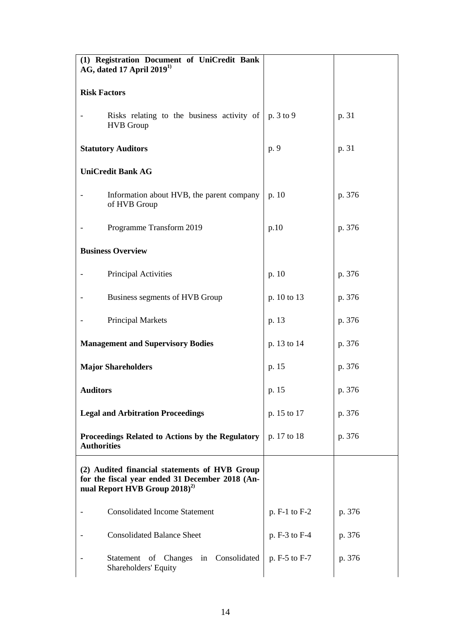| (1) Registration Document of UniCredit Bank<br>AG, dated 17 April 2019 <sup>1)</sup>                                                          |                 |        |
|-----------------------------------------------------------------------------------------------------------------------------------------------|-----------------|--------|
| <b>Risk Factors</b>                                                                                                                           |                 |        |
| Risks relating to the business activity of<br><b>HVB</b> Group                                                                                | p. 3 to 9       | p. 31  |
| <b>Statutory Auditors</b>                                                                                                                     | p. 9            | p. 31  |
| <b>UniCredit Bank AG</b>                                                                                                                      |                 |        |
| Information about HVB, the parent company<br>of HVB Group                                                                                     | p. $10$         | p. 376 |
| Programme Transform 2019                                                                                                                      | p.10            | p. 376 |
| <b>Business Overview</b>                                                                                                                      |                 |        |
| Principal Activities                                                                                                                          | p. 10           | p. 376 |
| Business segments of HVB Group                                                                                                                | p. 10 to 13     | p. 376 |
| <b>Principal Markets</b>                                                                                                                      | p. 13           | p. 376 |
| <b>Management and Supervisory Bodies</b>                                                                                                      | p. 13 to 14     | p. 376 |
| <b>Major Shareholders</b>                                                                                                                     | p. 15           | p. 376 |
| <b>Auditors</b>                                                                                                                               | p. 15           | p. 376 |
| <b>Legal and Arbitration Proceedings</b>                                                                                                      | p. 15 to 17     | p. 376 |
| Proceedings Related to Actions by the Regulatory<br><b>Authorities</b>                                                                        | p. 17 to 18     | p. 376 |
| (2) Audited financial statements of HVB Group<br>for the fiscal year ended 31 December 2018 (An-<br>nual Report HVB Group 2018) <sup>2)</sup> |                 |        |
| <b>Consolidated Income Statement</b>                                                                                                          | $p. F-1 to F-2$ | p. 376 |
| <b>Consolidated Balance Sheet</b>                                                                                                             | p. F-3 to F-4   | p. 376 |
| Statement of Changes in Consolidated<br>Shareholders' Equity                                                                                  | p. F-5 to F-7   | p. 376 |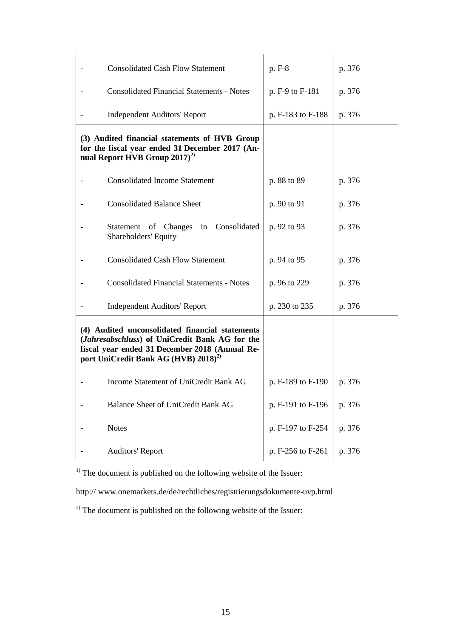| <b>Consolidated Cash Flow Statement</b>                                                                                                                                                                          | p. F-8            | p. 376 |
|------------------------------------------------------------------------------------------------------------------------------------------------------------------------------------------------------------------|-------------------|--------|
| <b>Consolidated Financial Statements - Notes</b>                                                                                                                                                                 | p. F-9 to F-181   | p. 376 |
| <b>Independent Auditors' Report</b>                                                                                                                                                                              | p. F-183 to F-188 | p. 376 |
| (3) Audited financial statements of HVB Group<br>for the fiscal year ended 31 December 2017 (An-<br>nual Report HVB Group $2017)^{2}$                                                                            |                   |        |
| <b>Consolidated Income Statement</b>                                                                                                                                                                             | p. 88 to 89       | p. 376 |
| <b>Consolidated Balance Sheet</b>                                                                                                                                                                                | p. 90 to 91       | p. 376 |
| Statement of Changes in Consolidated<br>Shareholders' Equity                                                                                                                                                     | p. 92 to 93       | p. 376 |
| <b>Consolidated Cash Flow Statement</b>                                                                                                                                                                          | p. 94 to 95       | p. 376 |
| <b>Consolidated Financial Statements - Notes</b>                                                                                                                                                                 | p. 96 to 229      | p. 376 |
| <b>Independent Auditors' Report</b>                                                                                                                                                                              | p. 230 to 235     | p. 376 |
| (4) Audited unconsolidated financial statements<br>( <i>Jahresabschluss</i> ) of UniCredit Bank AG for the<br>fiscal year ended 31 December 2018 (Annual Re-<br>port UniCredit Bank AG (HVB) 2018) <sup>2)</sup> |                   |        |
| Income Statement of UniCredit Bank AG                                                                                                                                                                            | p. F-189 to F-190 | p. 376 |
| Balance Sheet of UniCredit Bank AG                                                                                                                                                                               | p. F-191 to F-196 | p. 376 |
| <b>Notes</b>                                                                                                                                                                                                     | p. F-197 to F-254 | p. 376 |
| <b>Auditors' Report</b>                                                                                                                                                                                          | p. F-256 to F-261 | p. 376 |

 $<sup>1)</sup>$  The document is published on the following website of the Issuer:</sup>

http:// www.onemarkets.de/de/rechtliches/registrierungsdokumente-uvp.html

<sup>2)</sup> The document is published on the following website of the Issuer: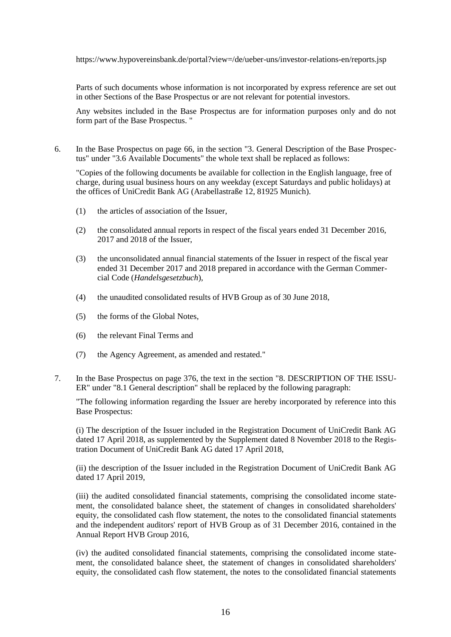https://www.hypovereinsbank.de/portal?view=/de/ueber-uns/investor-relations-en/reports.jsp

Parts of such documents whose information is not incorporated by express reference are set out in other Sections of the Base Prospectus or are not relevant for potential investors.

Any websites included in the Base Prospectus are for information purposes only and do not form part of the Base Prospectus. "

6. In the Base Prospectus on page 66, in the section "3. General Description of the Base Prospectus" under "3.6 Available Documents" the whole text shall be replaced as follows:

"Copies of the following documents be available for collection in the English language, free of charge, during usual business hours on any weekday (except Saturdays and public holidays) at the offices of UniCredit Bank AG (Arabellastraße 12, 81925 Munich).

- (1) the articles of association of the Issuer,
- (2) the consolidated annual reports in respect of the fiscal years ended 31 December 2016, 2017 and 2018 of the Issuer,
- (3) the unconsolidated annual financial statements of the Issuer in respect of the fiscal year ended 31 December 2017 and 2018 prepared in accordance with the German Commercial Code (*Handelsgesetzbuch*),
- (4) the unaudited consolidated results of HVB Group as of 30 June 2018,
- (5) the forms of the Global Notes,
- (6) the relevant Final Terms and
- (7) the Agency Agreement, as amended and restated."
- 7. In the Base Prospectus on page 376, the text in the section "8. DESCRIPTION OF THE ISSU-ER" under "8.1 General description" shall be replaced by the following paragraph:

"The following information regarding the Issuer are hereby incorporated by reference into this Base Prospectus:

(i) The description of the Issuer included in the Registration Document of UniCredit Bank AG dated 17 April 2018, as supplemented by the Supplement dated 8 November 2018 to the Registration Document of UniCredit Bank AG dated 17 April 2018,

(ii) the description of the Issuer included in the Registration Document of UniCredit Bank AG dated 17 April 2019,

(iii) the audited consolidated financial statements, comprising the consolidated income statement, the consolidated balance sheet, the statement of changes in consolidated shareholders' equity, the consolidated cash flow statement, the notes to the consolidated financial statements and the independent auditors' report of HVB Group as of 31 December 2016, contained in the Annual Report HVB Group 2016,

(iv) the audited consolidated financial statements, comprising the consolidated income statement, the consolidated balance sheet, the statement of changes in consolidated shareholders' equity, the consolidated cash flow statement, the notes to the consolidated financial statements